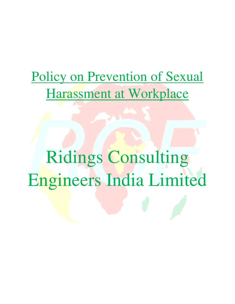# Policy on Prevention of Sexual Harassment at Workplace

Ridings Consulting Engineers India Limited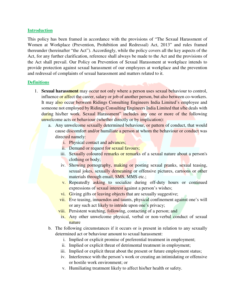#### **Introduction**

This policy has been framed in accordance with the provisions of "The Sexual Harassment of Women at Workplace (Prevention, Prohibition and Redressal) Act, 2013" and rules framed thereunder (hereinafter "the Act"). Accordingly, while the policy covers all the key aspects of the Act, for any further clarification, reference shall always be made to the Act and the provisions of the Act shall prevail. Our Policy on Prevention of Sexual Harassment at workplace intends to provide protection against sexual harassment of our employees at workplace and the prevention and redressal of complaints of sexual harassment and matters related to it.

#### **Definitions**

- 1. **Sexual harassment** may occur not only where a person uses sexual behaviour to control, influence or affect the career, salary or job of another person, but also between co-workers. It may also occur between Ridings Consulting Engineers India Limited's employee and someone not employed by Ridings Consulting Engineers India Limited that s/he deals with during his/her work. Sexual Harassment" includes any one or more of the following unwelcome acts or behaviour (whether directly or by implication):
	- a. Any unwelcome sexually determined behaviour, or pattern of conduct, that would cause discomfort and/or humiliate a person at whom the behaviour or conduct was directed namely:
		- i. Physical contact and advances;
		- ii. Demand or request for sexual favours;
		- iii. Sexually coloured remarks or remarks of a sexual nature about a person's clothing or body;
		- iv. Showing pornography, making or posting sexual pranks, sexual teasing, sexual jokes, sexually demeaning or offensive pictures, cartoons or other materials through email, SMS, MMS etc.;
		- v. Repeatedly asking to socialize during off-duty hours or continued expressions of sexual interest against a person's wishes;
		- vi. Giving gifts or leaving objects that are sexually suggestive;
		- vii. Eve teasing, innuendos and taunts, physical confinement against one's will or any such act likely to intrude upon one's privacy;
		- viii. Persistent watching, following, contacting of a person; and
		- ix. Any other unwelcome physical, verbal or non-verbal conduct of sexual nature
	- b. The following circumstances if it occurs or is present in relation to any sexually determined act or behaviour amount to sexual harassment:
		- i. Implied or explicit promise of preferential treatment in employment;
		- ii. Implied or explicit threat of detrimental treatment in employment;
		- iii. Implied or explicit threat about the present or future employment status;
		- iv. Interference with the person's work or creating an intimidating or offensive or hostile work environment; or
		- v. Humiliating treatment likely to affect his/her health or safety.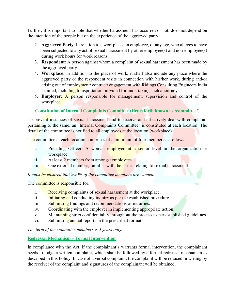Further, it is important to note that whether harassment has occurred or not, does not depend on the intention of the people but on the experience of the aggrieved party.

- 2. **Aggrieved Party**: In relation to a workplace, an employee, of any age, who alleges to have been subjected to any act of sexual harassment by other employee(s) and non-employee(s) during work hours for work reasons.
- 3. **Respondent**: A person against whom a complaint of sexual harassment has been made by the aggrieved party
- 4. **Workplace**: In addition to the place of work, it shall also include any place where the aggrieved party or the respondent visits in connection with his/her work, during and/or arising out of employment/ contract/ engagement with Ridings Consulting Engineers India Limited, including transportation provided for undertaking such a journey.
- 5. **Employer**: A person responsible for management, supervision and control of the workplace.

# **Constitution of Internal Complaints Committee (Henceforth known as 'committee')**

To prevent instances of sexual harassment and to receive and effectively deal with complaints pertaining to the same, an "Internal Complaints Committee" is constituted at each location. The detail of the committee is notified to all employees at the location (workplace).

The committee at each location comprises of a minimum of four members as follows:

- i. Presiding Officer: A woman employed at a senior level in the organization or workplace
- ii. At least 2 members from amongst employees
- iii. One external member, familiar with the issues relating to sexual harassment

*It must be ensured that >50% of the committee members are women.* 

The committee is responsible for:

- i. Receiving complaints of sexual harassment at the workplace.
- ii. Initiating and conducting inquiry as per the established procedure.
- iii. Submitting findings and recommendations of inquiries.
- iv. Coordinating with the employer in implementing appropriate action.
- v. Maintaining strict confidentiality throughout the process as per established guidelines.
- vi. Submitting annual reports in the prescribed format.

*The term of the committee members is 3 years only.* 

# **Redressal Mechanism – Formal Intervention**

In compliance with the Act, if the complainant's warrants formal intervention, the complainant needs to lodge a written complaint, which shall be followed by a formal redressal mechanism as described in this Policy. In case of a verbal complaint, the complaint will be reduced in writing by the receiver of the complaint and signatures of the complainant will be obtained.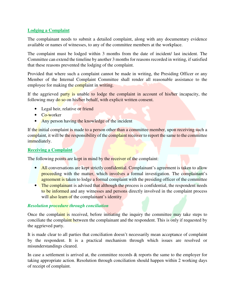## **Lodging a Complaint**

The complainant needs to submit a detailed complaint, along with any documentary evidence available or names of witnesses, to any of the committee members at the workplace.

The complaint must be lodged within 3 months from the date of incident/ last incident. The Committee can extend the timeline by another 3 months for reasons recorded in writing, if satisfied that these reasons prevented the lodging of the complaint.

Provided that where such a complaint cannot be made in writing, the Presiding Officer or any Member of the Internal Complaint Committee shall render all reasonable assistance to the employee for making the complaint in writing.

If the aggrieved party is unable to lodge the complaint in account of his/her incapacity, the following may do so on his/her behalf, with explicit written consent.

- Legal heir, relative or friend
- Co-worker
- Any person having the knowledge of the incident

If the initial complaint is made to a person other than a committee member, upon receiving such a complaint, it will be the responsibility of the complaint receiver to report the same to the committee immediately.

#### **Receiving a Complaint**

The following points are kept in mind by the receiver of the complaint:

- All conversations are kept strictly confidential. Complainant's agreement is taken to allow proceeding with the matter, which involves a formal investigation. The complainant's agreement is taken to lodge a formal complaint with the presiding officer of the committee
- The complainant is advised that although the process is confidential, the respondent needs to be informed and any witnesses and persons directly involved in the complaint process will also learn of the complainant's identity

## *Resolution procedure through conciliation*

Once the complaint is received, before initiating the inquiry the committee may take steps to conciliate the complaint between the complainant and the respondent. This is only if requested by the aggrieved party.

It is made clear to all parties that conciliation doesn't necessarily mean acceptance of complaint by the respondent. It is a practical mechanism through which issues are resolved or misunderstandings cleared.

In case a settlement is arrived at, the committee records  $\&$  reports the same to the employer for taking appropriate action. Resolution through conciliation should happen within 2 working days of receipt of complaint.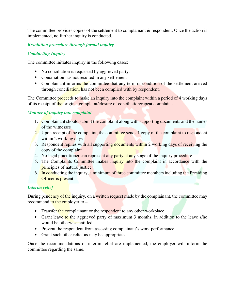The committee provides copies of the settlement to complainant  $\&$  respondent. Once the action is implemented, no further inquiry is conducted.

# *Resolution procedure through formal inquiry*

# *Conducting Inquiry*

The committee initiates inquiry in the following cases:

- No conciliation is requested by aggrieved party.
- Conciliation has not resulted in any settlement
- Complainant informs the committee that any term or condition of the settlement arrived through conciliation, has not been complied with by respondent.

The Committee proceeds to make an inquiry into the complaint within a period of 4 working days of its receipt of the original complaint/closure of conciliation/repeat complaint.

# *Manner of inquiry into complaint*

- 1. Complainant should submit the complaint along with supporting documents and the names of the witnesses
- 2. Upon receipt of the complaint, the committee sends 1 copy of the complaint to respondent within 2 working days
- 3. Respondent replies with all supporting documents within 2 working days of receiving the copy of the complaint
- 4. No legal practitioner can represent any party at any stage of the inquiry procedure
- 5. The Complaints Committee makes inquiry into the complaint in accordance with the principles of natural justice
- 6. In conducting the inquiry, a minimum of three committee members including the Presiding **Officer** is present

## *Interim relief*

During pendency of the inquiry, on a written request made by the complainant, the committee may recommend to the employer to –

- Transfer the complainant or the respondent to any other workplace
- Grant leave to the aggrieved party of maximum 3 months, in addition to the leave s/he would be otherwise entitled
- Prevent the respondent from assessing complainant's work performance
- Grant such other relief as may be appropriate

Once the recommendations of interim relief are implemented, the employer will inform the committee regarding the same.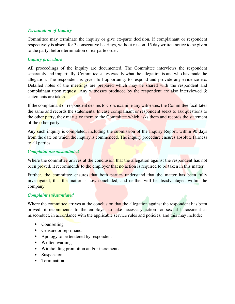## *Termination of Inquiry*

Committee may terminate the inquiry or give ex-parte decision, if complainant or respondent respectively is absent for 3 consecutive hearings, without reason. 15 day written notice to be given to the party, before termination or ex-parte order.

#### *Inquiry procedure*

All proceedings of the inquiry are documented. The Committee interviews the respondent separately and impartially. Committee states exactly what the allegation is and who has made the allegation. The respondent is given full opportunity to respond and provide any evidence etc. Detailed notes of the meetings are prepared which may be shared with the respondent and complainant upon request. Any witnesses produced by the respondent are also interviewed & statements are taken.

If the complainant or respondent desires to cross examine any witnesses, the Committee facilitates the same and records the statements. In case complainant or respondent seeks to ask questions to the other party, they may give them to the Committee which asks them and records the statement of the other party.

Any such inquiry is completed, including the submission of the Inquiry Report, within 90 days from the date on which the inquiry is commenced. The inquiry procedure ensures absolute fairness to all parties.

#### *Complaint unsubstantiated*

Where the committee arrives at the conclusion that the allegation against the respondent has not been proved, it recommends to the employer that no action is required to be taken in this matter.

Further, the committee ensures that both parties understand that the matter has been fully investigated, that the matter is now concluded, and neither will be disadvantaged within the company.

#### *Complaint substantiated*

Where the committee arrives at the conclusion that the allegation against the respondent has been proved, it recommends to the employer to take necessary action for sexual harassment as misconduct, in accordance with the applicable service rules and policies, and this may include:

- Counselling
- Censure or reprimand
- Apology to be tendered by respondent
- Written warning
- Withholding promotion and/or increments
- Suspension
- Termination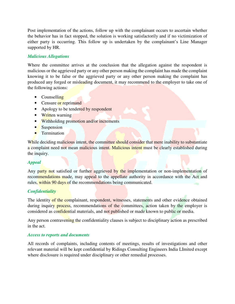Post implementation of the actions, follow up with the complainant occurs to ascertain whether the behavior has in fact stopped, the solution is working satisfactorily and if no victimization of either party is occurring. This follow up is undertaken by the complainant's Line Manager supported by HR.

## *Malicious Allegations*

Where the committee arrives at the conclusion that the allegation against the respondent is malicious or the aggrieved party or any other person making the complaint has made the complaint knowing it to be false or the aggrieved party or any other person making the complaint has produced any forged or misleading document, it may recommend to the employer to take one of the following actions:

- Counselling
- Censure or reprimand
- Apology to be tendered by respondent
- Written warning
- Withholding promotion and/or increments
- Suspension
- Termination

While deciding malicious intent, the committee should consider that mere inability to substantiate a complaint need not mean malicious intent. Malicious intent must be clearly established during the inquiry.

## *Appeal*

Any party not satisfied or further aggrieved by the implementation or non-implementation of recommendations made, may appeal to the appellate authority in accordance with the Act and rules, within 90 days of the recommendations being communicated.

## *Confidentiality*

The identity of the complainant, respondent, witnesses, statements and other evidence obtained during inquiry process, recommendations of the committees, action taken by the employer is considered as confidential materials, and not published or made known to public or media.

Any person contravening the confidentiality clauses is subject to disciplinary action as prescribed in the act.

#### *Access to reports and documents*

All records of complaints, including contents of meetings, results of investigations and other relevant material will be kept confidential by Ridings Consulting Engineers India LImited except where disclosure is required under disciplinary or other remedial processes.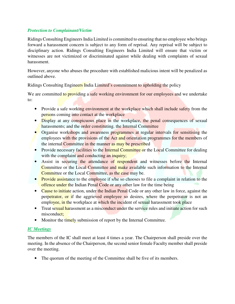#### *Protection to Complainant/Victim*

Ridings Consulting Engineers India Limited is committed to ensuring that no employee who brings forward a harassment concern is subject to any form of reprisal. Any reprisal will be subject to disciplinary action. Ridings Consulting Engineers India Limited will ensure that victim or witnesses are not victimized or discriminated against while dealing with complaints of sexual harassment.

However, anyone who abuses the procedure with established malicious intent will be penalized as outlined above.

Ridings Consulting Engineers India Limited's commitment to upholding the policy

We are committed to providing a safe working environment for our employees and we undertake to:

- Provide a safe working environment at the workplace which shall include safety from the persons coming into contact at the workplace
- Display at any conspicuous place in the workplace, the penal consequences of sexual harassments; and the order constituting. the Internal Committee
- Organise workshops and awareness programmes at regular intervals for sensitising the employees with the provisions of the Act and orientation programmes for the members of the internal Committee in the manner as may be prescribed
- Provide necessary facilities to the Internal Committee or the Local Committee for dealing with the complaint and conducting an inquiry;
- Assist in securing the attendance of respondent and witnesses before the Internal Committee or the Local Committee and make available such information to the Internal Committee or the Local Committee, as the case may be.
- Provide assistance to the employee if s/he so chooses to file a complaint in relation to the offence under the Indian Penal Code or any other law for the time being
- Cause to initiate action, under the Indian Penal Code or any other law in force, against the perpetrator, or if the aggrieved employee so desires, where the perpetrator is not an employee, in the workplace at which the incident of sexual harassment took place
- Treat sexual harassment as a misconduct under the service rules and initiate action for such misconduct:
- Monitor the timely submission of report by the Internal Committee.

# *IC Meetings*

The members of the IC shall meet at least 4 times a year. The Chairperson shall preside over the meeting. In the absence of the Chairperson, the second senior female Faculty member shall preside over the meeting.

• The quorum of the meeting of the Committee shall be five of its members.